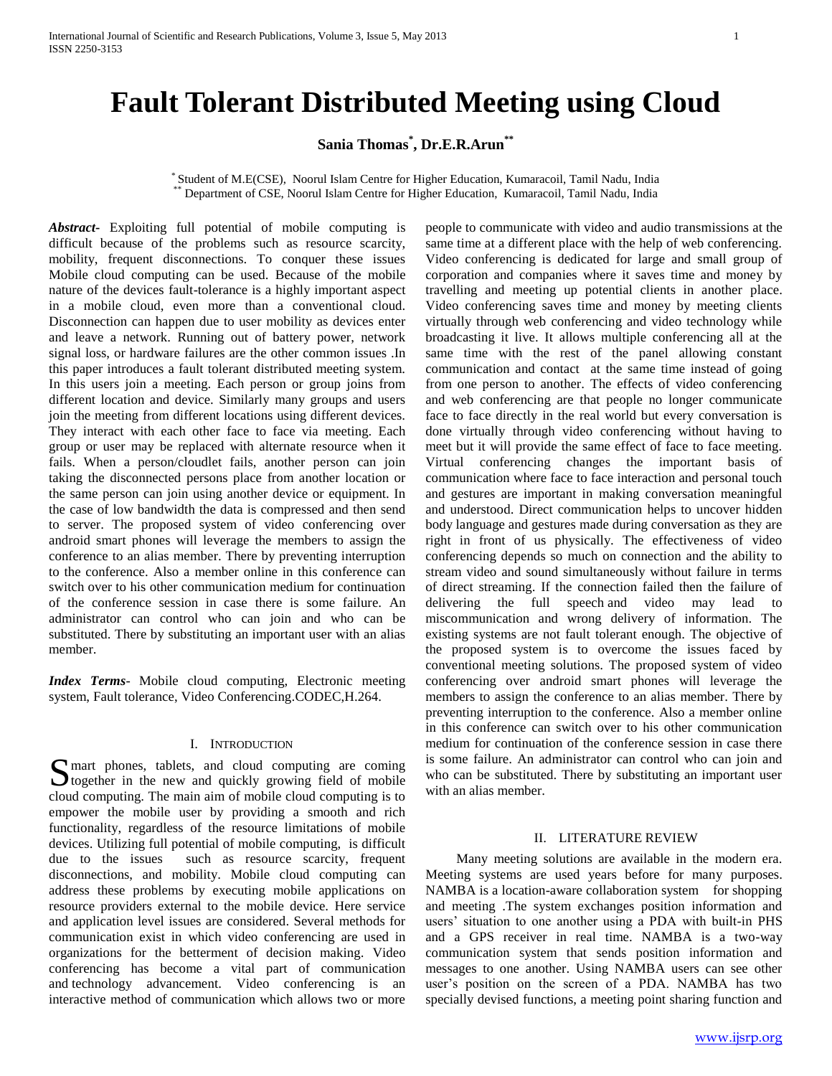# **Sania Thomas\* , Dr.E.R.Arun\*\***

\* Student of M.E(CSE), Noorul Islam Centre for Higher Education, Kumaracoil, Tamil Nadu, India Department of CSE, Noorul Islam Centre for Higher Education, Kumaracoil, Tamil Nadu, India

*Abstract***-** Exploiting full potential of mobile computing is difficult because of the problems such as resource scarcity, mobility, frequent disconnections. To conquer these issues Mobile cloud computing can be used. Because of the mobile nature of the devices fault-tolerance is a highly important aspect in a mobile cloud, even more than a conventional cloud. Disconnection can happen due to user mobility as devices enter and leave a network. Running out of battery power, network signal loss, or hardware failures are the other common issues .In this paper introduces a fault tolerant distributed meeting system. In this users join a meeting. Each person or group joins from different location and device. Similarly many groups and users join the meeting from different locations using different devices. They interact with each other face to face via meeting. Each group or user may be replaced with alternate resource when it fails. When a person/cloudlet fails, another person can join taking the disconnected persons place from another location or the same person can join using another device or equipment. In the case of low bandwidth the data is compressed and then send to server. The proposed system of video conferencing over android smart phones will leverage the members to assign the conference to an alias member. There by preventing interruption to the conference. Also a member online in this conference can switch over to his other communication medium for continuation of the conference session in case there is some failure. An administrator can control who can join and who can be substituted. There by substituting an important user with an alias member.

*Index Terms*- Mobile cloud computing, Electronic meeting system, Fault tolerance, Video Conferencing.CODEC,H.264.

## I. INTRODUCTION

mart phones, tablets, and cloud computing are coming S mart phones, tablets, and cloud computing are coming<br>together in the new and quickly growing field of mobile cloud computing. The main aim of mobile cloud computing is to empower the mobile user by providing a smooth and rich functionality, regardless of the resource limitations of mobile devices. Utilizing full potential of mobile computing, is difficult due to the issues such as resource scarcity, frequent disconnections, and mobility. Mobile cloud computing can address these problems by executing mobile applications on resource providers external to the mobile device. Here service and application level issues are considered. Several methods for communication exist in which video conferencing are used in organizations for the betterment of decision making. Video conferencing has become a vital part of communication and technology advancement. Video conferencing is an interactive method of communication which allows two or more

people to communicate with video and audio transmissions at the same time at a different place with the help of web conferencing. Video conferencing is dedicated for large and small group of corporation and companies where it saves time and money by travelling and meeting up potential clients in another place. Video conferencing saves time and money by meeting clients virtually through web conferencing and video technology while broadcasting it live. It allows multiple conferencing all at the same time with the rest of the panel allowing constant communication and contact at the same time instead of going from one person to another. The effects of video conferencing and web conferencing are that people no longer communicate face to face directly in the real world but every conversation is done virtually through video conferencing without having to meet but it will provide the same effect of face to face meeting. Virtual conferencing changes the important basis of communication where face to face interaction and personal touch and gestures are important in making conversation meaningful and understood. Direct communication helps to uncover hidden body language and gestures made during conversation as they are right in front of us physically. The effectiveness of video conferencing depends so much on connection and the ability to stream video and sound simultaneously without failure in terms of direct streaming. If the connection failed then the failure of delivering the full speech and video may lead to miscommunication and wrong delivery of information. The existing systems are not fault tolerant enough. The objective of the proposed system is to overcome the issues faced by conventional meeting solutions. The proposed system of video conferencing over android smart phones will leverage the members to assign the conference to an alias member. There by preventing interruption to the conference. Also a member online in this conference can switch over to his other communication medium for continuation of the conference session in case there is some failure. An administrator can control who can join and who can be substituted. There by substituting an important user with an alias member.

## II. LITERATURE REVIEW

 Many meeting solutions are available in the modern era. Meeting systems are used years before for many purposes. NAMBA is a location-aware collaboration system for shopping and meeting .The system exchanges position information and users' situation to one another using a PDA with built-in PHS and a GPS receiver in real time. NAMBA is a two-way communication system that sends position information and messages to one another. Using NAMBA users can see other user's position on the screen of a PDA. NAMBA has two specially devised functions, a meeting point sharing function and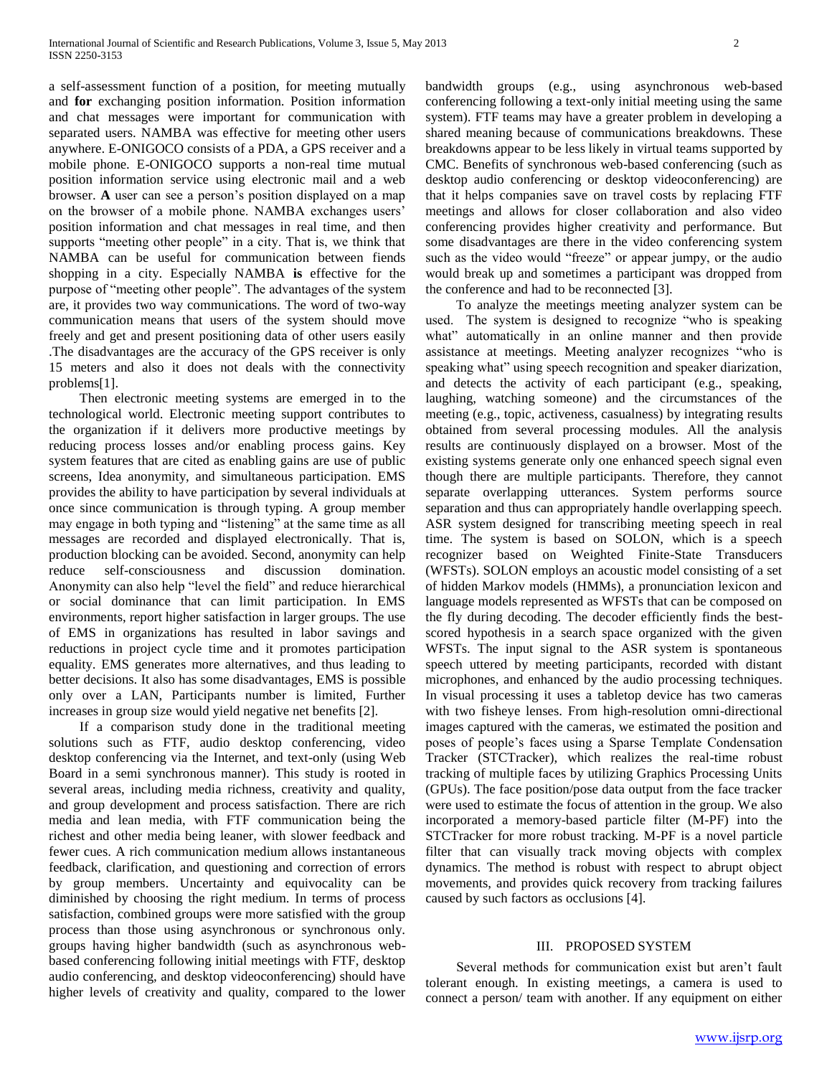a self-assessment function of a position, for meeting mutually and **for** exchanging position information. Position information and chat messages were important for communication with separated users. NAMBA was effective for meeting other users anywhere. E-ONIGOCO consists of a PDA, a GPS receiver and a mobile phone. E-ONIGOCO supports a non-real time mutual position information service using electronic mail and a web browser. **A** user can see a person's position displayed on a map on the browser of a mobile phone. NAMBA exchanges users' position information and chat messages in real time, and then supports "meeting other people" in a city. That is, we think that NAMBA can be useful for communication between fiends shopping in a city. Especially NAMBA **is** effective for the purpose of "meeting other people". The advantages of the system are, it provides two way communications*.* The word of two-way communication means that users of the system should move freely and get and present positioning data of other users easily .The disadvantages are the accuracy of the GPS receiver is only 15 meters and also it does not deals with the connectivity problems[1].

 Then electronic meeting systems are emerged in to the technological world. Electronic meeting support contributes to the organization if it delivers more productive meetings by reducing process losses and/or enabling process gains. Key system features that are cited as enabling gains are use of public screens, Idea anonymity, and simultaneous participation. EMS provides the ability to have participation by several individuals at once since communication is through typing. A group member may engage in both typing and "listening" at the same time as all messages are recorded and displayed electronically. That is, production blocking can be avoided. Second, anonymity can help reduce self-consciousness and discussion domination. Anonymity can also help "level the field" and reduce hierarchical or social dominance that can limit participation. In EMS environments, report higher satisfaction in larger groups. The use of EMS in organizations has resulted in labor savings and reductions in project cycle time and it promotes participation equality. EMS generates more alternatives, and thus leading to better decisions. It also has some disadvantages, EMS is possible only over a LAN, Participants number is limited, Further increases in group size would yield negative net benefits [2].

 If a comparison study done in the traditional meeting solutions such as FTF, audio desktop conferencing, video desktop conferencing via the Internet, and text-only (using Web Board in a semi synchronous manner). This study is rooted in several areas, including media richness, creativity and quality, and group development and process satisfaction. There are rich media and lean media, with FTF communication being the richest and other media being leaner, with slower feedback and fewer cues. A rich communication medium allows instantaneous feedback, clarification, and questioning and correction of errors by group members. Uncertainty and equivocality can be diminished by choosing the right medium. In terms of process satisfaction, combined groups were more satisfied with the group process than those using asynchronous or synchronous only. groups having higher bandwidth (such as asynchronous webbased conferencing following initial meetings with FTF, desktop audio conferencing, and desktop videoconferencing) should have higher levels of creativity and quality, compared to the lower bandwidth groups (e.g., using asynchronous web-based conferencing following a text-only initial meeting using the same system). FTF teams may have a greater problem in developing a shared meaning because of communications breakdowns. These breakdowns appear to be less likely in virtual teams supported by CMC. Benefits of synchronous web-based conferencing (such as desktop audio conferencing or desktop videoconferencing) are that it helps companies save on travel costs by replacing FTF meetings and allows for closer collaboration and also video conferencing provides higher creativity and performance. But some disadvantages are there in the video conferencing system such as the video would "freeze" or appear jumpy, or the audio would break up and sometimes a participant was dropped from the conference and had to be reconnected [3].

 To analyze the meetings meeting analyzer system can be used. The system is designed to recognize "who is speaking what" automatically in an online manner and then provide assistance at meetings. Meeting analyzer recognizes "who is speaking what" using speech recognition and speaker diarization, and detects the activity of each participant (e.g., speaking, laughing, watching someone) and the circumstances of the meeting (e.g., topic, activeness, casualness) by integrating results obtained from several processing modules. All the analysis results are continuously displayed on a browser. Most of the existing systems generate only one enhanced speech signal even though there are multiple participants. Therefore, they cannot separate overlapping utterances. System performs source separation and thus can appropriately handle overlapping speech. ASR system designed for transcribing meeting speech in real time. The system is based on SOLON, which is a speech recognizer based on Weighted Finite-State Transducers (WFSTs). SOLON employs an acoustic model consisting of a set of hidden Markov models (HMMs), a pronunciation lexicon and language models represented as WFSTs that can be composed on the fly during decoding. The decoder efficiently finds the bestscored hypothesis in a search space organized with the given WFSTs. The input signal to the ASR system is spontaneous speech uttered by meeting participants, recorded with distant microphones, and enhanced by the audio processing techniques. In visual processing it uses a tabletop device has two cameras with two fisheye lenses. From high-resolution omni-directional images captured with the cameras, we estimated the position and poses of people's faces using a Sparse Template Condensation Tracker (STCTracker), which realizes the real-time robust tracking of multiple faces by utilizing Graphics Processing Units (GPUs). The face position/pose data output from the face tracker were used to estimate the focus of attention in the group. We also incorporated a memory-based particle filter (M-PF) into the STCTracker for more robust tracking. M-PF is a novel particle filter that can visually track moving objects with complex dynamics. The method is robust with respect to abrupt object movements, and provides quick recovery from tracking failures caused by such factors as occlusions [4].

# III. PROPOSED SYSTEM

 Several methods for communication exist but aren't fault tolerant enough. In existing meetings, a camera is used to connect a person/ team with another. If any equipment on either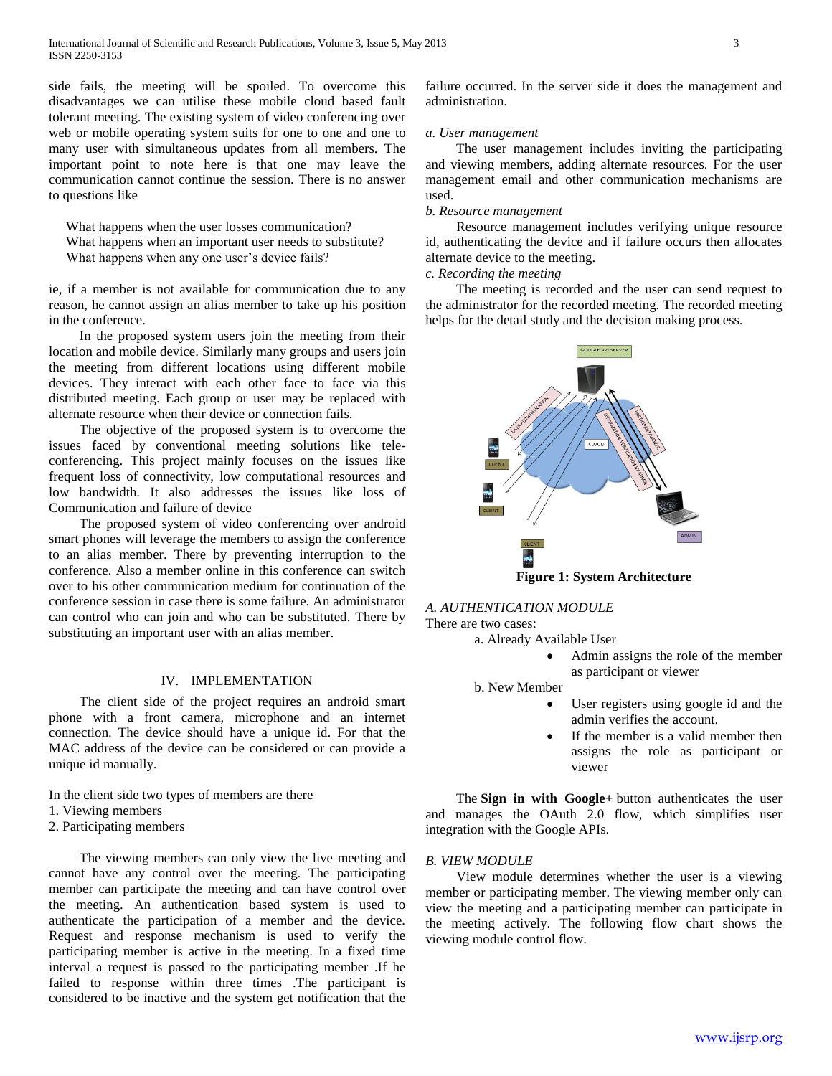side fails, the meeting will be spoiled. To overcome this disadvantages we can utilise these mobile cloud based fault tolerant meeting. The existing system of video conferencing over web or mobile operating system suits for one to one and one to many user with simultaneous updates from all members. The important point to note here is that one may leave the communication cannot continue the session. There is no answer to questions like

 What happens when the user losses communication? What happens when an important user needs to substitute? What happens when any one user's device fails?

ie, if a member is not available for communication due to any reason, he cannot assign an alias member to take up his position in the conference.

 In the proposed system users join the meeting from their location and mobile device. Similarly many groups and users join the meeting from different locations using different mobile devices. They interact with each other face to face via this distributed meeting. Each group or user may be replaced with alternate resource when their device or connection fails.

 The objective of the proposed system is to overcome the issues faced by conventional meeting solutions like teleconferencing. This project mainly focuses on the issues like frequent loss of connectivity, low computational resources and low bandwidth. It also addresses the issues like loss of Communication and failure of device

 The proposed system of video conferencing over android smart phones will leverage the members to assign the conference to an alias member. There by preventing interruption to the conference. Also a member online in this conference can switch over to his other communication medium for continuation of the conference session in case there is some failure. An administrator can control who can join and who can be substituted. There by substituting an important user with an alias member.

# IV. IMPLEMENTATION

 The client side of the project requires an android smart phone with a front camera, microphone and an internet connection. The device should have a unique id. For that the MAC address of the device can be considered or can provide a unique id manually.

- In the client side two types of members are there
- 1. Viewing members
- 2. Participating members

 The viewing members can only view the live meeting and cannot have any control over the meeting. The participating member can participate the meeting and can have control over the meeting. An authentication based system is used to authenticate the participation of a member and the device. Request and response mechanism is used to verify the participating member is active in the meeting. In a fixed time interval a request is passed to the participating member .If he failed to response within three times .The participant is considered to be inactive and the system get notification that the

failure occurred. In the server side it does the management and administration.

## *a. User management*

 The user management includes inviting the participating and viewing members, adding alternate resources. For the user management email and other communication mechanisms are used.

## *b. Resource management*

 Resource management includes verifying unique resource id, authenticating the device and if failure occurs then allocates alternate device to the meeting.

# *c. Recording the meeting*

 The meeting is recorded and the user can send request to the administrator for the recorded meeting. The recorded meeting helps for the detail study and the decision making process.



# *A. AUTHENTICATION MODULE*

There are two cases:

- a. Already Available User
	- Admin assigns the role of the member as participant or viewer
- b. New Member
	- User registers using google id and the admin verifies the account.
	- If the member is a valid member then assigns the role as participant or viewer

 The **Sign in with Google+** button authenticates the user and manages the OAuth 2.0 flow, which simplifies user integration with the Google APIs.

## *B. VIEW MODULE*

 View module determines whether the user is a viewing member or participating member. The viewing member only can view the meeting and a participating member can participate in the meeting actively. The following flow chart shows the viewing module control flow.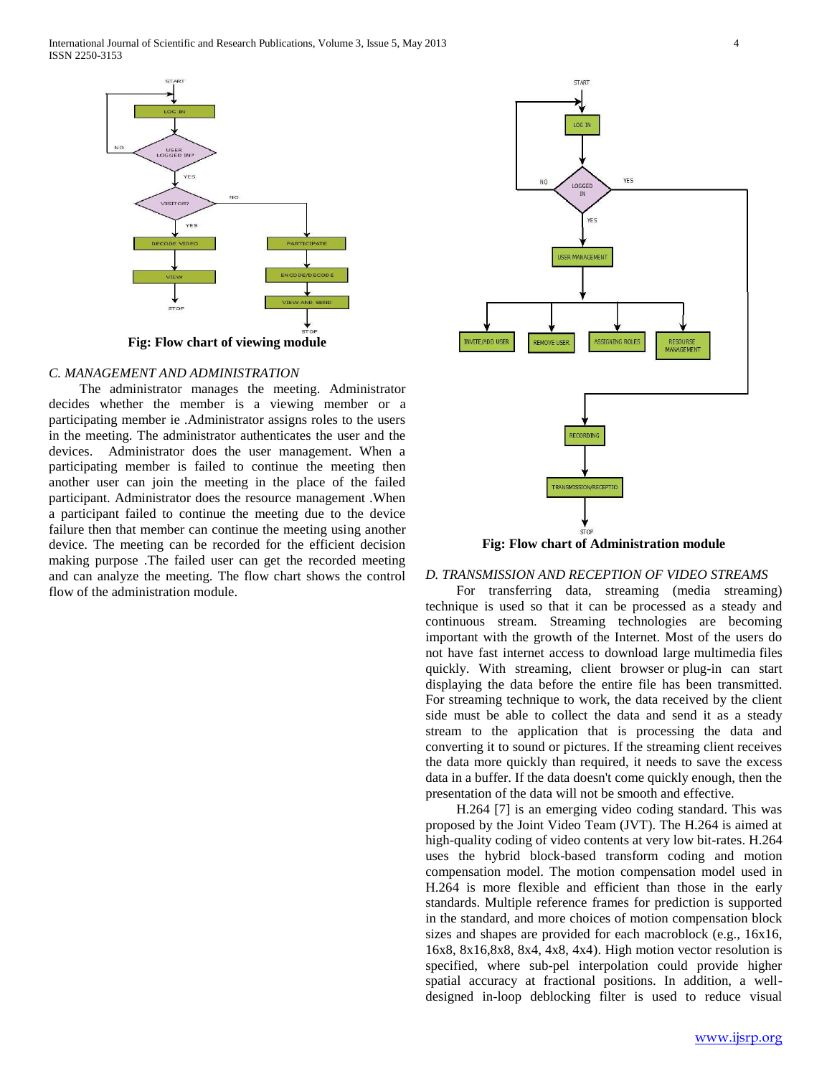

## *C. MANAGEMENT AND ADMINISTRATION*

 The administrator manages the meeting. Administrator decides whether the member is a viewing member or a participating member ie .Administrator assigns roles to the users in the meeting. The administrator authenticates the user and the devices. Administrator does the user management. When a participating member is failed to continue the meeting then another user can join the meeting in the place of the failed participant. Administrator does the resource management .When a participant failed to continue the meeting due to the device failure then that member can continue the meeting using another device. The meeting can be recorded for the efficient decision making purpose .The failed user can get the recorded meeting and can analyze the meeting. The flow chart shows the control flow of the administration module.



*D. TRANSMISSION AND RECEPTION OF VIDEO STREAMS*

 For transferring data, streaming (media streaming) technique is used so that it can be processed as a steady and continuous stream. Streaming technologies are becoming important with the growth of the Internet. Most of the users do not have fast internet access to download large multimedia files quickly. With streaming, client browser or plug-in can start displaying the data before the entire file has been transmitted. For streaming technique to work, the data received by the client side must be able to collect the data and send it as a steady stream to the application that is processing the data and converting it to sound or pictures. If the streaming client receives the data more quickly than required, it needs to save the excess data in a buffer. If the data doesn't come quickly enough, then the presentation of the data will not be smooth and effective.

 H.264 [7] is an emerging video coding standard. This was proposed by the Joint Video Team (JVT). The H.264 is aimed at high-quality coding of video contents at very low bit-rates. H.264 uses the hybrid block-based transform coding and motion compensation model. The motion compensation model used in H.264 is more flexible and efficient than those in the early standards. Multiple reference frames for prediction is supported in the standard, and more choices of motion compensation block sizes and shapes are provided for each macroblock (e.g., 16x16, 16x8, 8x16,8x8, 8x4, 4x8, 4x4). High motion vector resolution is specified, where sub-pel interpolation could provide higher spatial accuracy at fractional positions. In addition, a welldesigned in-loop deblocking filter is used to reduce visual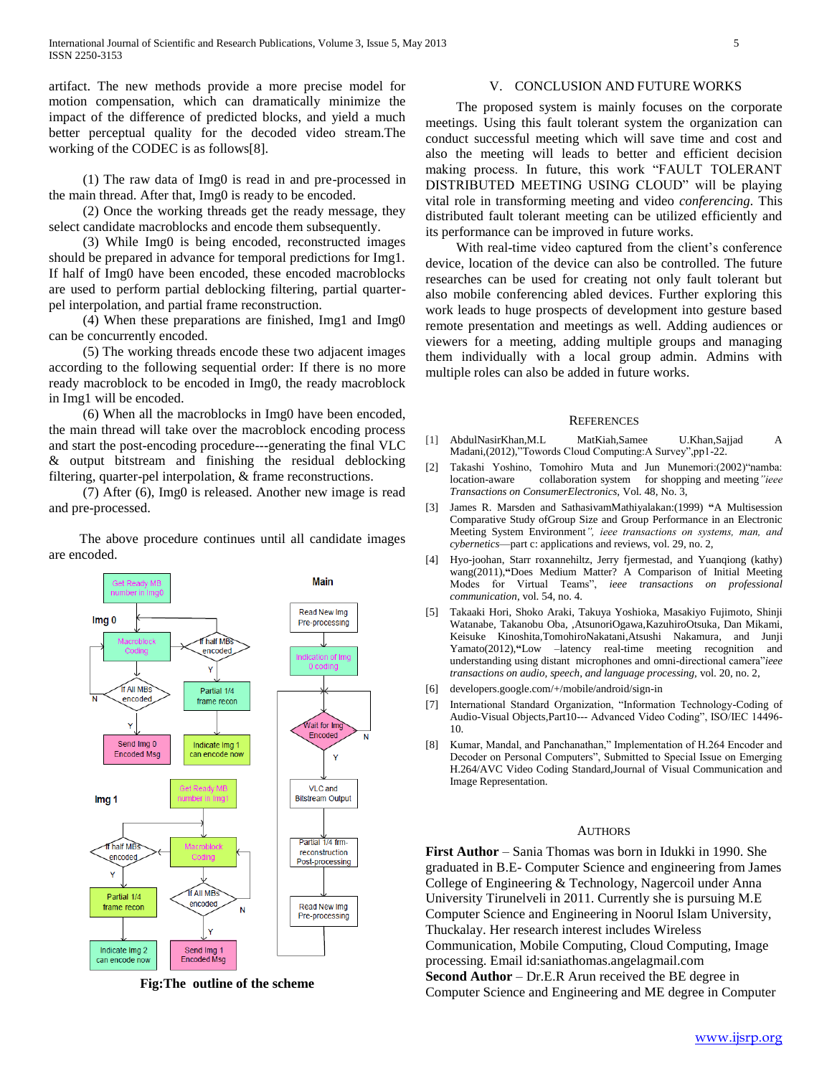artifact. The new methods provide a more precise model for motion compensation, which can dramatically minimize the impact of the difference of predicted blocks, and yield a much better perceptual quality for the decoded video stream.The working of the CODEC is as follows[8].

 (1) The raw data of Img0 is read in and pre-processed in the main thread. After that, Img0 is ready to be encoded.

 (2) Once the working threads get the ready message, they select candidate macroblocks and encode them subsequently.

 (3) While Img0 is being encoded, reconstructed images should be prepared in advance for temporal predictions for Img1. If half of Img0 have been encoded, these encoded macroblocks are used to perform partial deblocking filtering, partial quarterpel interpolation, and partial frame reconstruction.

 (4) When these preparations are finished, Img1 and Img0 can be concurrently encoded.

 (5) The working threads encode these two adjacent images according to the following sequential order: If there is no more ready macroblock to be encoded in Img0, the ready macroblock in Img1 will be encoded.

 (6) When all the macroblocks in Img0 have been encoded, the main thread will take over the macroblock encoding process and start the post-encoding procedure---generating the final VLC & output bitstream and finishing the residual deblocking filtering, quarter-pel interpolation, & frame reconstructions.

 (7) After (6), Img0 is released. Another new image is read and pre-processed.

 The above procedure continues until all candidate images are encoded.



**Fig:The outline of the scheme**

# V. CONCLUSION AND FUTURE WORKS

 The proposed system is mainly focuses on the corporate meetings. Using this fault tolerant system the organization can conduct successful meeting which will save time and cost and also the meeting will leads to better and efficient decision making process. In future, this work "FAULT TOLERANT DISTRIBUTED MEETING USING CLOUD" will be playing vital role in transforming meeting and video *conferencing.* This distributed fault tolerant meeting can be utilized efficiently and its performance can be improved in future works.

 With real-time video captured from the client's conference device, location of the device can also be controlled. The future researches can be used for creating not only fault tolerant but also mobile conferencing abled devices. Further exploring this work leads to huge prospects of development into gesture based remote presentation and meetings as well. Adding audiences or viewers for a meeting, adding multiple groups and managing them individually with a local group admin. Admins with multiple roles can also be added in future works.

#### **REFERENCES**

- [1] AbdulNasirKhan,M.L MatKiah,Samee U.Khan,Sajjad A Madani,(2012),"Towords Cloud Computing:A Survey",pp1-22.
- [2] Takashi Yoshino, Tomohiro Muta and Jun Munemori:(2002)"namba: location-aware collaboration system for shopping and meeting*"ieee Transactions on ConsumerElectronics,* Vol. 48, No. 3,
- [3] James R. Marsden and SathasivamMathiyalakan:(1999) **"**A Multisession Comparative Study ofGroup Size and Group Performance in an Electronic Meeting System Environment*", ieee transactions on systems, man, and cybernetics*—part c: applications and reviews, vol. 29, no. 2,
- [4] Hyo-joohan, Starr roxannehiltz, Jerry fjermestad, and Yuanqiong (kathy) wang(2011),**"**Does Medium Matter? A Comparison of Initial Meeting Modes for Virtual Teams", *ieee transactions on professional communication*, vol. 54, no. 4.
- [5] Takaaki Hori, Shoko Araki, Takuya Yoshioka*,* Masakiyo Fujimoto, Shinji Watanabe*,* Takanobu Oba*,* ,AtsunoriOgawa,KazuhiroOtsuka*,* Dan Mikami, Keisuke Kinoshita,TomohiroNakatani,Atsushi Nakamura*,* and Junji Yamato(2012),**"**Low –latency real-time meeting recognition and understanding using distant microphones and omni-directional camera"*ieee transactions on audio, speech, and language processing,* vol. 20, no. 2,
- [6] developers.google.com/+/mobile/android/sign-in
- [7] International Standard Organization, "Information Technology-Coding of Audio-Visual Objects,Part10--- Advanced Video Coding", ISO/IEC 14496- 10.
- [8] Kumar, Mandal, and Panchanathan," Implementation of H.264 Encoder and Decoder on Personal Computers", Submitted to Special Issue on Emerging H.264/AVC Video Coding Standard,Journal of Visual Communication and Image Representation.

### AUTHORS

**First Author** – Sania Thomas was born in Idukki in 1990. She graduated in B.E- Computer Science and engineering from James College of Engineering & Technology, Nagercoil under Anna University Tirunelveli in 2011. Currently she is pursuing M.E Computer Science and Engineering in Noorul Islam University, Thuckalay. Her research interest includes Wireless Communication, Mobile Computing, Cloud Computing, Image processing. Email id:saniathomas.angelagmail.com **Second Author** – Dr.E.R Arun received the BE degree in Computer Science and Engineering and ME degree in Computer